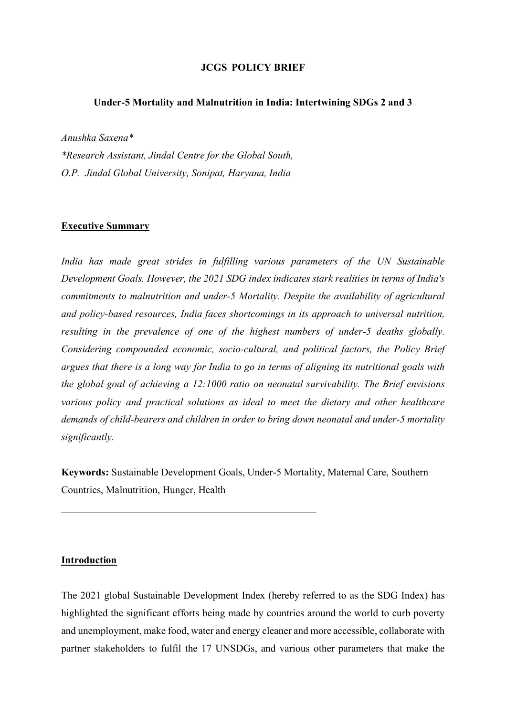### **JCGS POLICY BRIEF**

#### **Under-5 Mortality and Malnutrition in India: Intertwining SDGs 2 and 3**

*Anushka Saxena\**

*\*Research Assistant, Jindal Centre for the Global South, O.P. Jindal Global University, Sonipat, Haryana, India*

### **Executive Summary**

*India has made great strides in fulfilling various parameters of the UN Sustainable Development Goals. However, the 2021 SDG index indicates stark realities in terms of India's commitments to malnutrition and under-5 Mortality. Despite the availability of agricultural and policy-based resources, India faces shortcomings in its approach to universal nutrition, resulting in the prevalence of one of the highest numbers of under-5 deaths globally. Considering compounded economic, socio-cultural, and political factors, the Policy Brief* argues that there is a long way for India to go in terms of aligning its nutritional goals with *the global goal of achieving a 12:1000 ratio on neonatal survivability. The Brief envisions various policy and practical solutions as ideal to meet the dietary and other healthcare demands of child-bearers and children in order to bring down neonatal and under-5 mortality significantly.*

**Keywords:** Sustainable Development Goals, Under-5 Mortality, Maternal Care, Southern Countries, Malnutrition, Hunger, Health

### **Introduction**

The 2021 global Sustainable Development Index (hereby referred to as the SDG Index) has highlighted the significant efforts being made by countries around the world to curb poverty and unemployment, make food, water and energy cleaner and more accessible, collaborate with partner stakeholders to fulfil the 17 UNSDGs, and various other parameters that make the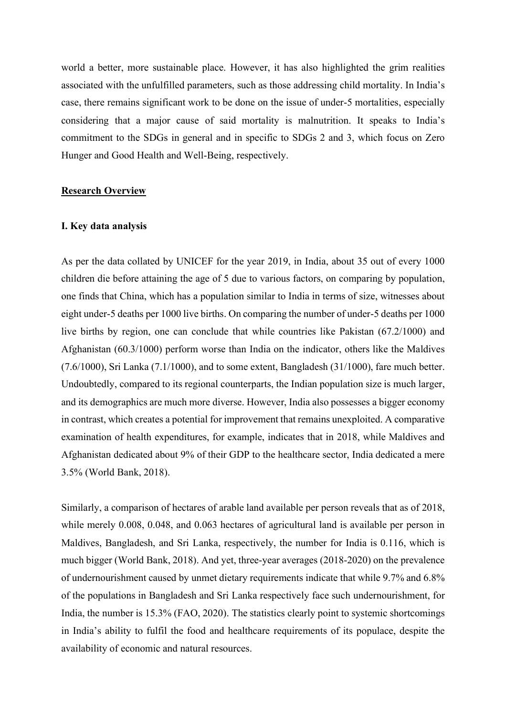world a better, more sustainable place. However, it has also highlighted the grim realities associated with the unfulfilled parameters, such as those addressing child mortality. In India's case, there remains significant work to be done on the issue of under-5 mortalities, especially considering that a major cause of said mortality is malnutrition. It speaks to India's commitment to the SDGs in general and in specific to SDGs 2 and 3, which focus on Zero Hunger and Good Health and Well-Being, respectively.

#### **Research Overview**

### **I. Key data analysis**

As per the data collated by UNICEF for the year 2019, in India, about 35 out of every 1000 children die before attaining the age of 5 due to various factors, on comparing by population, one finds that China, which has a population similar to India in terms of size, witnesses about eight under-5 deaths per 1000 live births. On comparing the number of under-5 deaths per 1000 live births by region, one can conclude that while countries like Pakistan (67.2/1000) and Afghanistan (60.3/1000) perform worse than India on the indicator, others like the Maldives (7.6/1000), Sri Lanka (7.1/1000), and to some extent, Bangladesh (31/1000), fare much better. Undoubtedly, compared to its regional counterparts, the Indian population size is much larger, and its demographics are much more diverse. However, India also possesses a bigger economy in contrast, which creates a potential for improvement that remains unexploited. A comparative examination of health expenditures, for example, indicates that in 2018, while Maldives and Afghanistan dedicated about 9% of their GDP to the healthcare sector, India dedicated a mere 3.5% (World Bank, 2018).

Similarly, a comparison of hectares of arable land available per person reveals that as of 2018, while merely 0.008, 0.048, and 0.063 hectares of agricultural land is available per person in Maldives, Bangladesh, and Sri Lanka, respectively, the number for India is 0.116, which is much bigger (World Bank, 2018). And yet, three-year averages (2018-2020) on the prevalence of undernourishment caused by unmet dietary requirements indicate that while 9.7% and 6.8% of the populations in Bangladesh and Sri Lanka respectively face such undernourishment, for India, the number is 15.3% (FAO, 2020). The statistics clearly point to systemic shortcomings in India's ability to fulfil the food and healthcare requirements of its populace, despite the availability of economic and natural resources.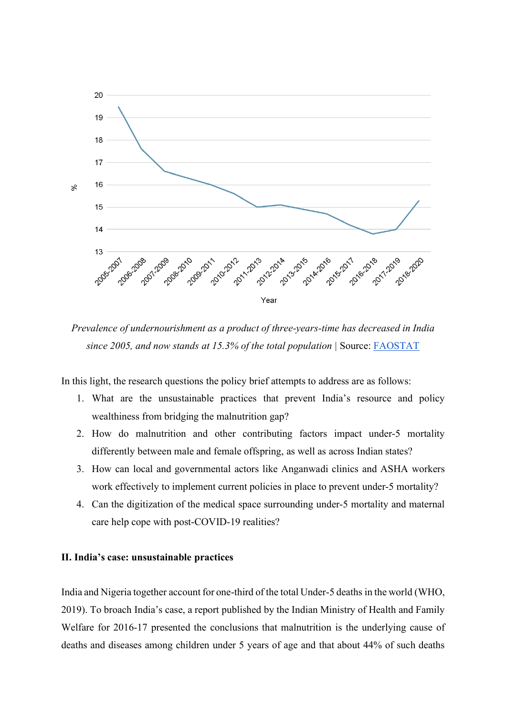

*Prevalence of undernourishment as a product of three-years-time has decreased in India since 2005, and now stands at 15.3% of the total population |* Source: FAOSTAT

In this light, the research questions the policy brief attempts to address are as follows:

- 1. What are the unsustainable practices that prevent India's resource and policy wealthiness from bridging the malnutrition gap?
- 2. How do malnutrition and other contributing factors impact under-5 mortality differently between male and female offspring, as well as across Indian states?
- 3. How can local and governmental actors like Anganwadi clinics and ASHA workers work effectively to implement current policies in place to prevent under-5 mortality?
- 4. Can the digitization of the medical space surrounding under-5 mortality and maternal care help cope with post-COVID-19 realities?

### **II. India's case: unsustainable practices**

India and Nigeria together account for one-third of the total Under-5 deaths in the world (WHO, 2019). To broach India's case, a report published by the Indian Ministry of Health and Family Welfare for 2016-17 presented the conclusions that malnutrition is the underlying cause of deaths and diseases among children under 5 years of age and that about 44% of such deaths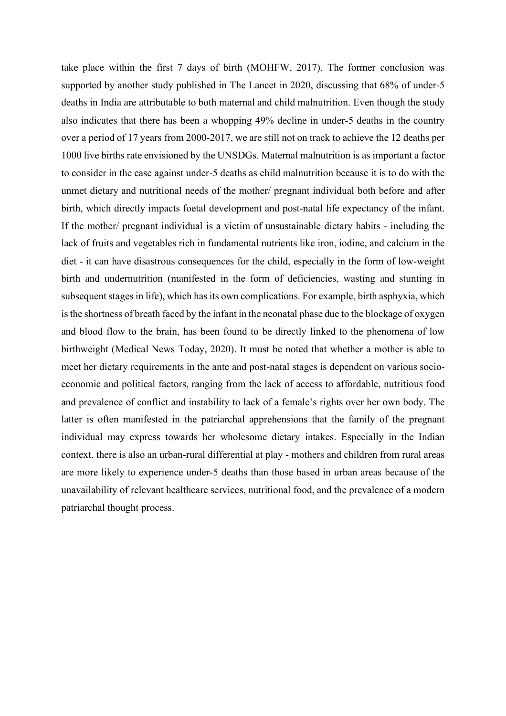take place within the first 7 days of birth (MOHFW, 2017). The former conclusion was supported by another study published in The Lancet in 2020, discussing that 68% of under-5 deaths in India are attributable to both maternal and child malnutrition. Even though the study also indicates that there has been a whopping 49% decline in under-5 deaths in the country over a period of 17 years from 2000-2017, we are still not on track to achieve the 12 deaths per 1000 live births rate envisioned by the UNSDGs. Maternal malnutrition is as important a factor to consider in the case against under-5 deaths as child malnutrition because it is to do with the unmet dietary and nutritional needs of the mother/ pregnant individual both before and after birth, which directly impacts foetal development and post-natal life expectancy of the infant. If the mother/ pregnant individual is a victim of unsustainable dietary habits - including the lack of fruits and vegetables rich in fundamental nutrients like iron, iodine, and calcium in the diet - it can have disastrous consequences for the child, especially in the form of low-weight birth and undernutrition (manifested in the form of deficiencies, wasting and stunting in subsequent stages in life), which has its own complications. For example, birth asphyxia, which isthe shortness of breath faced by the infant in the neonatal phase due to the blockage of oxygen and blood flow to the brain, has been found to be directly linked to the phenomena of low birthweight (Medical News Today, 2020). It must be noted that whether a mother is able to meet her dietary requirements in the ante and post-natal stages is dependent on various socioeconomic and political factors, ranging from the lack of access to affordable, nutritious food and prevalence of conflict and instability to lack of a female's rights over her own body. The latter is often manifested in the patriarchal apprehensions that the family of the pregnant individual may express towards her wholesome dietary intakes. Especially in the Indian context, there is also an urban-rural differential at play - mothers and children from rural areas are more likely to experience under-5 deaths than those based in urban areas because of the unavailability of relevant healthcare services, nutritional food, and the prevalence of a modern patriarchal thought process.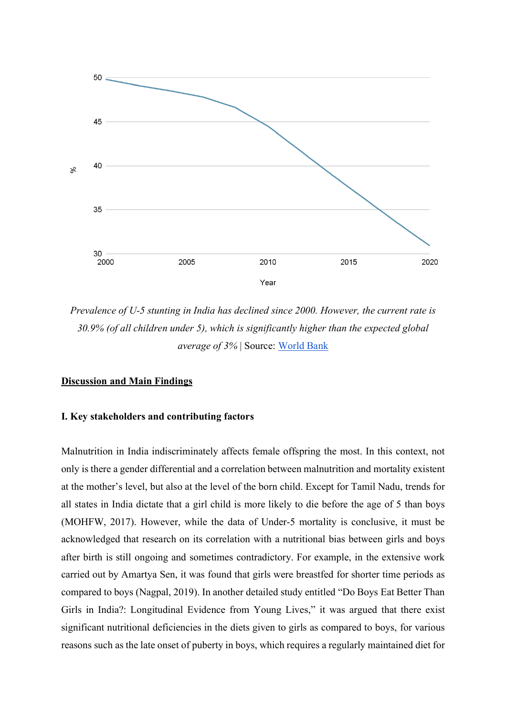

*Prevalence of U-5 stunting in India has declined since 2000. However, the current rate is 30.9% (of all children under 5), which is significantly higher than the expected global average of 3%* | Source: World Bank

### **Discussion and Main Findings**

## **I. Key stakeholders and contributing factors**

Malnutrition in India indiscriminately affects female offspring the most. In this context, not only is there a gender differential and a correlation between malnutrition and mortality existent at the mother's level, but also at the level of the born child. Except for Tamil Nadu, trends for all states in India dictate that a girl child is more likely to die before the age of 5 than boys (MOHFW, 2017). However, while the data of Under-5 mortality is conclusive, it must be acknowledged that research on its correlation with a nutritional bias between girls and boys after birth is still ongoing and sometimes contradictory. For example, in the extensive work carried out by Amartya Sen, it was found that girls were breastfed for shorter time periods as compared to boys (Nagpal, 2019). In another detailed study entitled "Do Boys Eat Better Than Girls in India?: Longitudinal Evidence from Young Lives," it was argued that there exist significant nutritional deficiencies in the diets given to girls as compared to boys, for various reasons such as the late onset of puberty in boys, which requires a regularly maintained diet for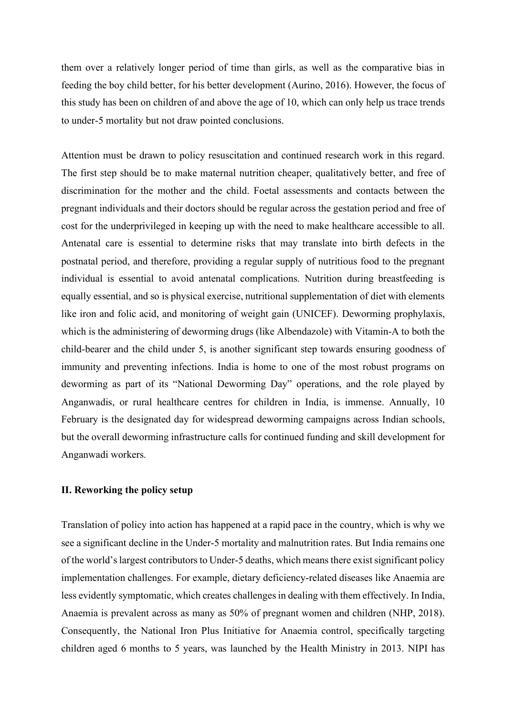them over a relatively longer period of time than girls, as well as the comparative bias in feeding the boy child better, for his better development (Aurino, 2016). However, the focus of this study has been on children of and above the age of 10, which can only help us trace trends to under-5 mortality but not draw pointed conclusions.

Attention must be drawn to policy resuscitation and continued research work in this regard. The first step should be to make maternal nutrition cheaper, qualitatively better, and free of discrimination for the mother and the child. Foetal assessments and contacts between the pregnant individuals and their doctors should be regular across the gestation period and free of cost for the underprivileged in keeping up with the need to make healthcare accessible to all. Antenatal care is essential to determine risks that may translate into birth defects in the postnatal period, and therefore, providing a regular supply of nutritious food to the pregnant individual is essential to avoid antenatal complications. Nutrition during breastfeeding is equally essential, and so is physical exercise, nutritional supplementation of diet with elements like iron and folic acid, and monitoring of weight gain (UNICEF). Deworming prophylaxis, which is the administering of deworming drugs (like Albendazole) with Vitamin-A to both the child-bearer and the child under 5, is another significant step towards ensuring goodness of immunity and preventing infections. India is home to one of the most robust programs on deworming as part of its "National Deworming Day" operations, and the role played by Anganwadis, or rural healthcare centres for children in India, is immense. Annually, 10 February is the designated day for widespread deworming campaigns across Indian schools, but the overall deworming infrastructure calls for continued funding and skill development for Anganwadi workers.

#### **II. Reworking the policy setup**

Translation of policy into action has happened at a rapid pace in the country, which is why we see a significant decline in the Under-5 mortality and malnutrition rates. But India remains one of the world'slargest contributorsto Under-5 deaths, which meansthere existsignificant policy implementation challenges. For example, dietary deficiency-related diseases like Anaemia are less evidently symptomatic, which creates challenges in dealing with them effectively. In India, Anaemia is prevalent across as many as 50% of pregnant women and children (NHP, 2018). Consequently, the National Iron Plus Initiative for Anaemia control, specifically targeting children aged 6 months to 5 years, was launched by the Health Ministry in 2013. NIPI has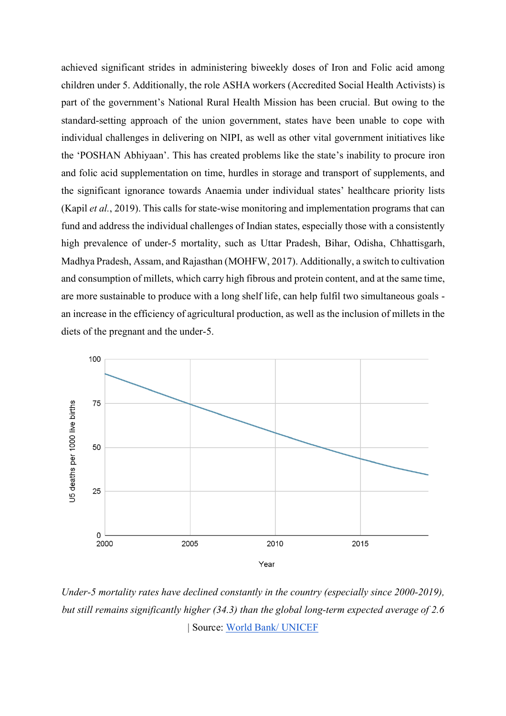achieved significant strides in administering biweekly doses of Iron and Folic acid among children under 5. Additionally, the role ASHA workers (Accredited Social Health Activists) is part of the government's National Rural Health Mission has been crucial. But owing to the standard-setting approach of the union government, states have been unable to cope with individual challenges in delivering on NIPI, as well as other vital government initiatives like the 'POSHAN Abhiyaan'. This has created problems like the state's inability to procure iron and folic acid supplementation on time, hurdles in storage and transport of supplements, and the significant ignorance towards Anaemia under individual states' healthcare priority lists (Kapil *et al.*, 2019). This calls for state-wise monitoring and implementation programs that can fund and address the individual challenges of Indian states, especially those with a consistently high prevalence of under-5 mortality, such as Uttar Pradesh, Bihar, Odisha, Chhattisgarh, Madhya Pradesh, Assam, and Rajasthan (MOHFW, 2017). Additionally, a switch to cultivation and consumption of millets, which carry high fibrous and protein content, and at the same time, are more sustainable to produce with a long shelf life, can help fulfil two simultaneous goals an increase in the efficiency of agricultural production, as well as the inclusion of millets in the diets of the pregnant and the under-5.



*Under-5 mortality rates have declined constantly in the country (especially since 2000-2019), but still remains significantly higher (34.3) than the global long-term expected average of 2.6* | Source: World Bank/ UNICEF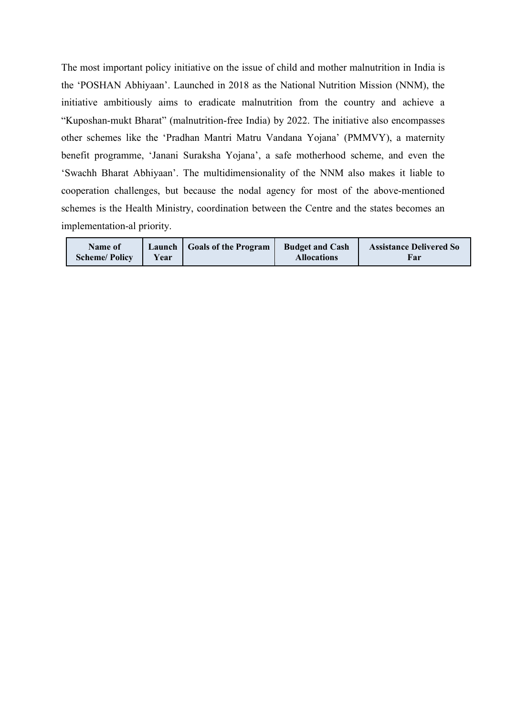The most important policy initiative on the issue of child and mother malnutrition in India is the 'POSHAN Abhiyaan'. Launched in 2018 as the National Nutrition Mission (NNM), the initiative ambitiously aims to eradicate malnutrition from the country and achieve a "Kuposhan-mukt Bharat" (malnutrition-free India) by 2022. The initiative also encompasses other schemes like the 'Pradhan Mantri Matru Vandana Yojana' (PMMVY), a maternity benefit programme, 'Janani Suraksha Yojana', a safe motherhood scheme, and even the 'Swachh Bharat Abhiyaan'. The multidimensionality of the NNM also makes it liable to cooperation challenges, but because the nodal agency for most of the above-mentioned schemes is the Health Ministry, coordination between the Centre and the states becomes an implementation-al priority.

| Name of              | Launch | <b>Goals of the Program</b> | <b>Budget and Cash</b> | <b>Assistance Delivered So</b> |
|----------------------|--------|-----------------------------|------------------------|--------------------------------|
| <b>Scheme/Policy</b> | Year   |                             | <b>Allocations</b>     | Far                            |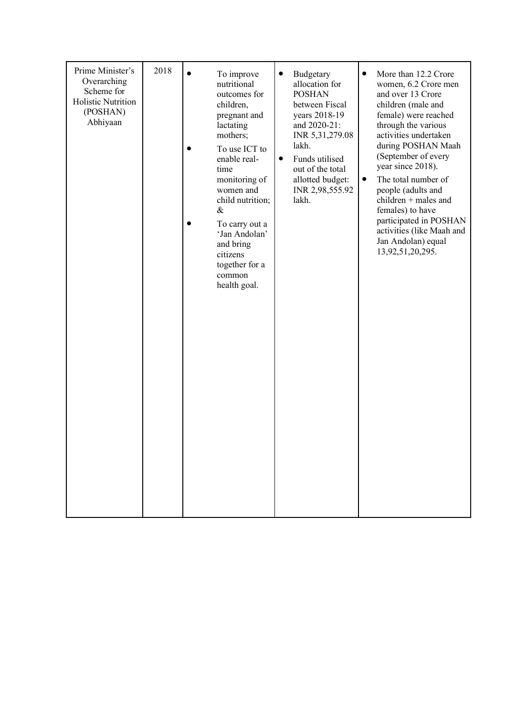| Prime Minister's<br>Overarching<br>Scheme for<br>Holistic Nutrition<br>(POSHAN)<br>Abhiyaan | 2018 | To improve<br>nutritional<br>outcomes for<br>children,<br>pregnant and<br>lactating<br>mothers;<br>To use ICT to<br>enable real-<br>time<br>monitoring of<br>women and<br>child nutrition;<br>$\&$<br>To carry out a<br>'Jan Andolan'<br>and bring<br>citizens<br>together for a<br>common<br>health goal. | Budgetary<br>$\bullet$<br>allocation for<br><b>POSHAN</b><br>between Fiscal<br>years 2018-19<br>and 2020-21:<br>INR 5,31,279.08<br>lakh.<br>Funds utilised<br>$\bullet$<br>out of the total<br>allotted budget:<br>INR 2,98,555.92<br>lakh. | More than 12.2 Crore<br>$\bullet$<br>women, 6.2 Crore men<br>and over 13 Crore<br>children (male and<br>female) were reached<br>through the various<br>activities undertaken<br>during POSHAN Maah<br>(September of every<br>year since 2018).<br>The total number of<br>$\bullet$<br>people (adults and<br>children + males and<br>females) to have<br>participated in POSHAN<br>activities (like Maah and<br>Jan Andolan) equal<br>13,92,51,20,295. |
|---------------------------------------------------------------------------------------------|------|------------------------------------------------------------------------------------------------------------------------------------------------------------------------------------------------------------------------------------------------------------------------------------------------------------|---------------------------------------------------------------------------------------------------------------------------------------------------------------------------------------------------------------------------------------------|-------------------------------------------------------------------------------------------------------------------------------------------------------------------------------------------------------------------------------------------------------------------------------------------------------------------------------------------------------------------------------------------------------------------------------------------------------|
|                                                                                             |      |                                                                                                                                                                                                                                                                                                            |                                                                                                                                                                                                                                             |                                                                                                                                                                                                                                                                                                                                                                                                                                                       |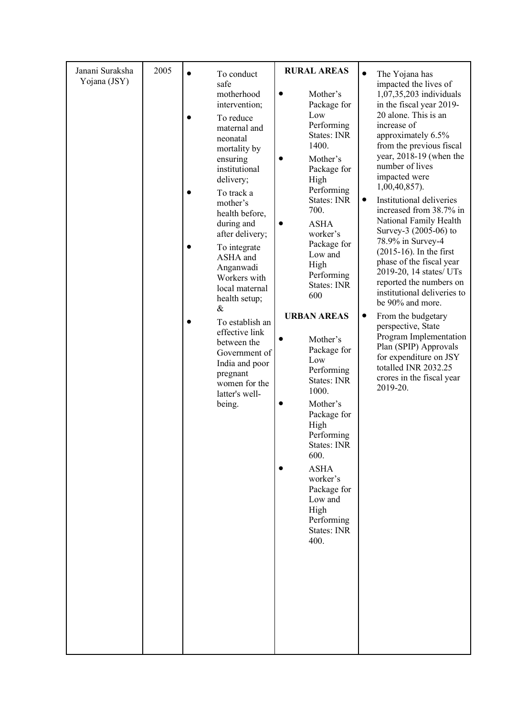| Janani Suraksha<br>Yojana (JSY) | 2005 | To conduct<br>safe<br>motherhood<br>intervention;<br>To reduce<br>maternal and<br>neonatal<br>mortality by<br>ensuring<br>institutional<br>delivery;<br>To track a<br>mother's<br>health before,<br>during and<br>after delivery;<br>To integrate<br>ASHA and<br>Anganwadi<br>Workers with<br>local maternal<br>health setup;<br>$\&$<br>To establish an<br>effective link<br>between the<br>Government of<br>India and poor<br>pregnant<br>women for the<br>latter's well-<br>being. | <b>RURAL AREAS</b><br>Mother's<br>Package for<br>Low<br>Performing<br><b>States: INR</b><br>1400.<br>Mother's<br>Package for<br>High<br>Performing<br>States: INR<br>700.<br><b>ASHA</b><br>worker's<br>Package for<br>Low and<br>High<br>Performing<br>States: INR<br>600<br><b>URBAN AREAS</b><br>Mother's<br>Package for<br>Low<br>Performing<br>States: INR<br>1000.<br>Mother's<br>Package for<br>High<br>Performing<br>States: INR<br>600.<br><b>ASHA</b><br>worker's<br>Package for<br>Low and<br>High<br>Performing<br>States: INR<br>400. | The Yojana has<br>impacted the lives of<br>1,07,35,203 individuals<br>in the fiscal year 2019-<br>20 alone. This is an<br>increase of<br>approximately 6.5%<br>from the previous fiscal<br>year, $2018-19$ (when the<br>number of lives<br>impacted were<br>$1,00,40,857$ ).<br>Institutional deliveries<br>$\bullet$<br>increased from 38.7% in<br>National Family Health<br>Survey-3 (2005-06) to<br>78.9% in Survey-4<br>$(2015-16)$ . In the first<br>phase of the fiscal year<br>2019-20, 14 states/ UTs<br>reported the numbers on<br>institutional deliveries to<br>be 90% and more.<br>From the budgetary<br>$\bullet$<br>perspective, State<br>Program Implementation<br>Plan (SPIP) Approvals<br>for expenditure on JSY<br>totalled INR 2032.25<br>crores in the fiscal year<br>2019-20. |
|---------------------------------|------|---------------------------------------------------------------------------------------------------------------------------------------------------------------------------------------------------------------------------------------------------------------------------------------------------------------------------------------------------------------------------------------------------------------------------------------------------------------------------------------|----------------------------------------------------------------------------------------------------------------------------------------------------------------------------------------------------------------------------------------------------------------------------------------------------------------------------------------------------------------------------------------------------------------------------------------------------------------------------------------------------------------------------------------------------|----------------------------------------------------------------------------------------------------------------------------------------------------------------------------------------------------------------------------------------------------------------------------------------------------------------------------------------------------------------------------------------------------------------------------------------------------------------------------------------------------------------------------------------------------------------------------------------------------------------------------------------------------------------------------------------------------------------------------------------------------------------------------------------------------|
|---------------------------------|------|---------------------------------------------------------------------------------------------------------------------------------------------------------------------------------------------------------------------------------------------------------------------------------------------------------------------------------------------------------------------------------------------------------------------------------------------------------------------------------------|----------------------------------------------------------------------------------------------------------------------------------------------------------------------------------------------------------------------------------------------------------------------------------------------------------------------------------------------------------------------------------------------------------------------------------------------------------------------------------------------------------------------------------------------------|----------------------------------------------------------------------------------------------------------------------------------------------------------------------------------------------------------------------------------------------------------------------------------------------------------------------------------------------------------------------------------------------------------------------------------------------------------------------------------------------------------------------------------------------------------------------------------------------------------------------------------------------------------------------------------------------------------------------------------------------------------------------------------------------------|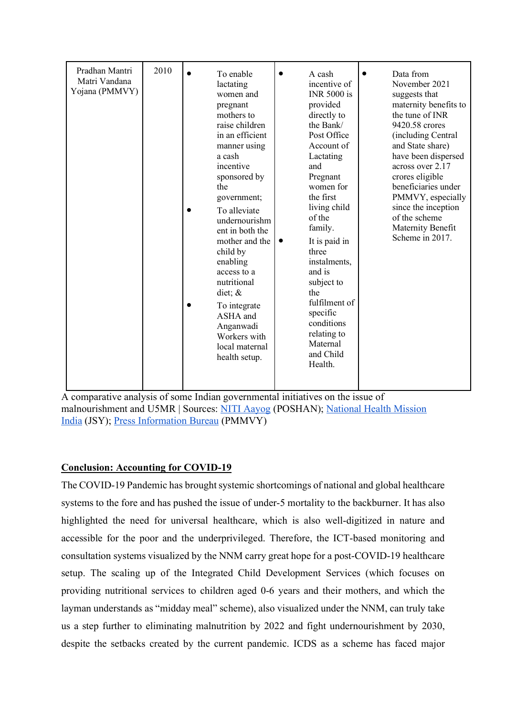| Pradhan Mantri<br>Matri Vandana<br>Yojana (PMMVY) | 2010 | To enable<br>lactating<br>women and<br>pregnant<br>mothers to<br>raise children<br>in an efficient<br>manner using<br>a cash<br>incentive<br>sponsored by<br>the<br>government;<br>To alleviate<br>undernourishm<br>ent in both the<br>mother and the<br>child by<br>enabling<br>access to a<br>nutritional<br>diet; $\&$<br>To integrate<br>ASHA and<br>Anganwadi<br>Workers with<br>local maternal<br>health setup. | A cash<br>incentive of<br><b>INR 5000 is</b><br>provided<br>directly to<br>the Bank/<br>Post Office<br>Account of<br>Lactating<br>and<br>Pregnant<br>women for<br>the first<br>living child<br>of the<br>family.<br>It is paid in<br>three<br>instalments,<br>and is<br>subject to<br>the<br>fulfilment of<br>specific<br>conditions<br>relating to<br>Maternal<br>and Child<br>Health. | Data from<br>$\bullet$<br>November 2021<br>suggests that<br>maternity benefits to<br>the tune of INR<br>9420.58 crores<br>(including Central<br>and State share)<br>have been dispersed<br>across over 2.17<br>crores eligible<br>beneficiaries under<br>PMMVY, especially<br>since the inception<br>of the scheme<br>Maternity Benefit<br>Scheme in 2017. |
|---------------------------------------------------|------|-----------------------------------------------------------------------------------------------------------------------------------------------------------------------------------------------------------------------------------------------------------------------------------------------------------------------------------------------------------------------------------------------------------------------|-----------------------------------------------------------------------------------------------------------------------------------------------------------------------------------------------------------------------------------------------------------------------------------------------------------------------------------------------------------------------------------------|------------------------------------------------------------------------------------------------------------------------------------------------------------------------------------------------------------------------------------------------------------------------------------------------------------------------------------------------------------|
|---------------------------------------------------|------|-----------------------------------------------------------------------------------------------------------------------------------------------------------------------------------------------------------------------------------------------------------------------------------------------------------------------------------------------------------------------------------------------------------------------|-----------------------------------------------------------------------------------------------------------------------------------------------------------------------------------------------------------------------------------------------------------------------------------------------------------------------------------------------------------------------------------------|------------------------------------------------------------------------------------------------------------------------------------------------------------------------------------------------------------------------------------------------------------------------------------------------------------------------------------------------------------|

A comparative analysis of some Indian governmental initiatives on the issue of malnourishment and U5MR | Sources: NITI Aayog (POSHAN); National Health Mission India (JSY); Press Information Bureau (PMMVY)

# **Conclusion: Accounting for COVID-19**

The COVID-19 Pandemic has brought systemic shortcomings of national and global healthcare systems to the fore and has pushed the issue of under-5 mortality to the backburner. It has also highlighted the need for universal healthcare, which is also well-digitized in nature and accessible for the poor and the underprivileged. Therefore, the ICT-based monitoring and consultation systems visualized by the NNM carry great hope for a post-COVID-19 healthcare setup. The scaling up of the Integrated Child Development Services (which focuses on providing nutritional services to children aged 0-6 years and their mothers, and which the layman understands as "midday meal" scheme), also visualized under the NNM, can truly take us a step further to eliminating malnutrition by 2022 and fight undernourishment by 2030, despite the setbacks created by the current pandemic. ICDS as a scheme has faced major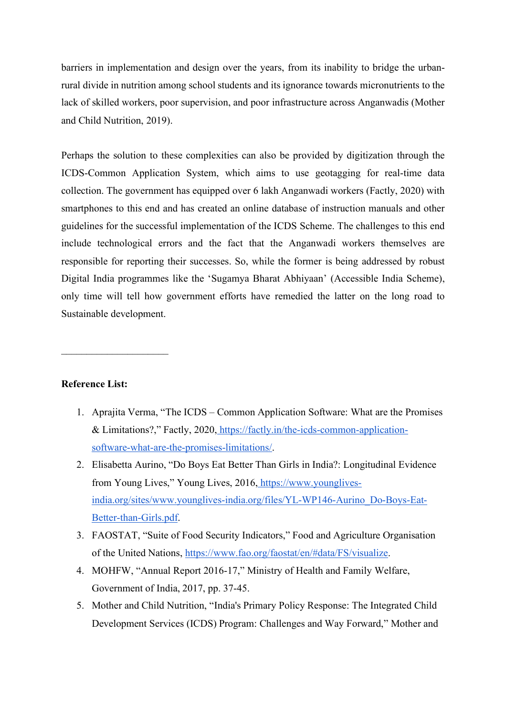barriers in implementation and design over the years, from its inability to bridge the urbanrural divide in nutrition among school students and its ignorance towards micronutrients to the lack of skilled workers, poor supervision, and poor infrastructure across Anganwadis (Mother and Child Nutrition, 2019).

Perhaps the solution to these complexities can also be provided by digitization through the ICDS-Common Application System, which aims to use geotagging for real-time data collection. The government has equipped over 6 lakh Anganwadi workers (Factly, 2020) with smartphones to this end and has created an online database of instruction manuals and other guidelines for the successful implementation of the ICDS Scheme. The challenges to this end include technological errors and the fact that the Anganwadi workers themselves are responsible for reporting their successes. So, while the former is being addressed by robust Digital India programmes like the 'Sugamya Bharat Abhiyaan' (Accessible India Scheme), only time will tell how government efforts have remedied the latter on the long road to Sustainable development.

### **Reference List:**

- 1. Aprajita Verma, "The ICDS Common Application Software: What are the Promises & Limitations?," Factly, 2020, https://factly.in/the-icds-common-applicationsoftware-what-are-the-promises-limitations/.
- 2. Elisabetta Aurino, "Do Boys Eat Better Than Girls in India?: Longitudinal Evidence from Young Lives," Young Lives, 2016, https://www.younglivesindia.org/sites/www.younglives-india.org/files/YL-WP146-Aurino\_Do-Boys-Eat-Better-than-Girls.pdf.
- 3. FAOSTAT, "Suite of Food Security Indicators," Food and Agriculture Organisation of the United Nations, https://www.fao.org/faostat/en/#data/FS/visualize.
- 4. MOHFW, "Annual Report 2016-17," Ministry of Health and Family Welfare, Government of India, 2017, pp. 37-45.
- 5. Mother and Child Nutrition, "India's Primary Policy Response: The Integrated Child Development Services (ICDS) Program: Challenges and Way Forward," Mother and